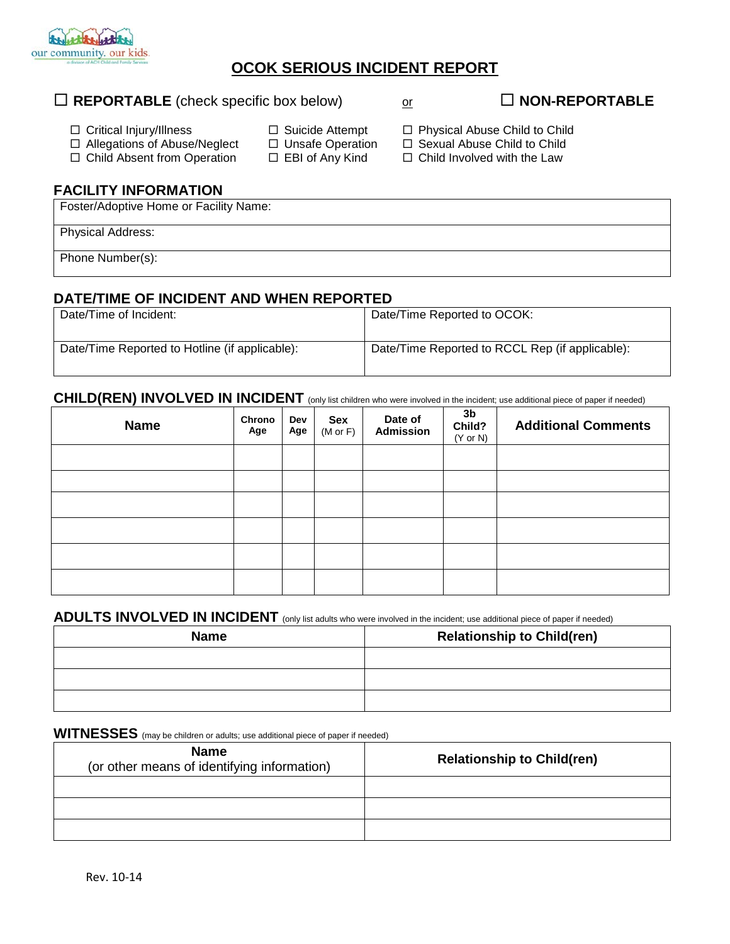

# **OCOK SERIOUS INCIDENT REPORT**

#### □ Critical Injury/Illness □ Allegations of Abuse/Neglect □ Child Absent from Operation □ Suicide Attempt □ Unsafe Operation  $\square$  EBI of Any Kind □ Physical Abuse Child to Child □ Sexual Abuse Child to Child  $\Box$  Child Involved with the Law **FACILITY INFORMATION** Foster/Adoptive Home or Facility Name: Physical Address:

Phone Number(s):

## **DATE/TIME OF INCIDENT AND WHEN REPORTED**

| Date/Time of Incident:                         | Date/Time Reported to OCOK:                     |
|------------------------------------------------|-------------------------------------------------|
| Date/Time Reported to Hotline (if applicable): | Date/Time Reported to RCCL Rep (if applicable): |

#### CHILD(REN) INVOLVED IN INCIDENT (only list children who were involved in the incident; use additional piece of paper if needed)

| <b>Name</b> | Chrono<br>Age | Dev<br>Age | <b>Sex</b><br>$(M \text{ or } F)$ | Date of<br><b>Admission</b> | 3 <sub>b</sub><br>Child?<br>$(Y \text{ or } N)$ | <b>Additional Comments</b> |
|-------------|---------------|------------|-----------------------------------|-----------------------------|-------------------------------------------------|----------------------------|
|             |               |            |                                   |                             |                                                 |                            |
|             |               |            |                                   |                             |                                                 |                            |
|             |               |            |                                   |                             |                                                 |                            |
|             |               |            |                                   |                             |                                                 |                            |
|             |               |            |                                   |                             |                                                 |                            |
|             |               |            |                                   |                             |                                                 |                            |

#### ADULTS INVOLVED IN INCIDENT (only list adults who were involved in the incident; use additional piece of paper if needed)

| <b>Name</b> | <b>Relationship to Child(ren)</b> |  |  |
|-------------|-----------------------------------|--|--|
|             |                                   |  |  |
|             |                                   |  |  |
|             |                                   |  |  |

**WITNESSES** (may be children or adults; use additional piece of paper if needed)

| <b>Name</b><br>(or other means of identifying information) | <b>Relationship to Child(ren)</b> |
|------------------------------------------------------------|-----------------------------------|
|                                                            |                                   |
|                                                            |                                   |
|                                                            |                                   |

□ **REPORTABLE** (check specific box below) or **NON-REPORTABLE**